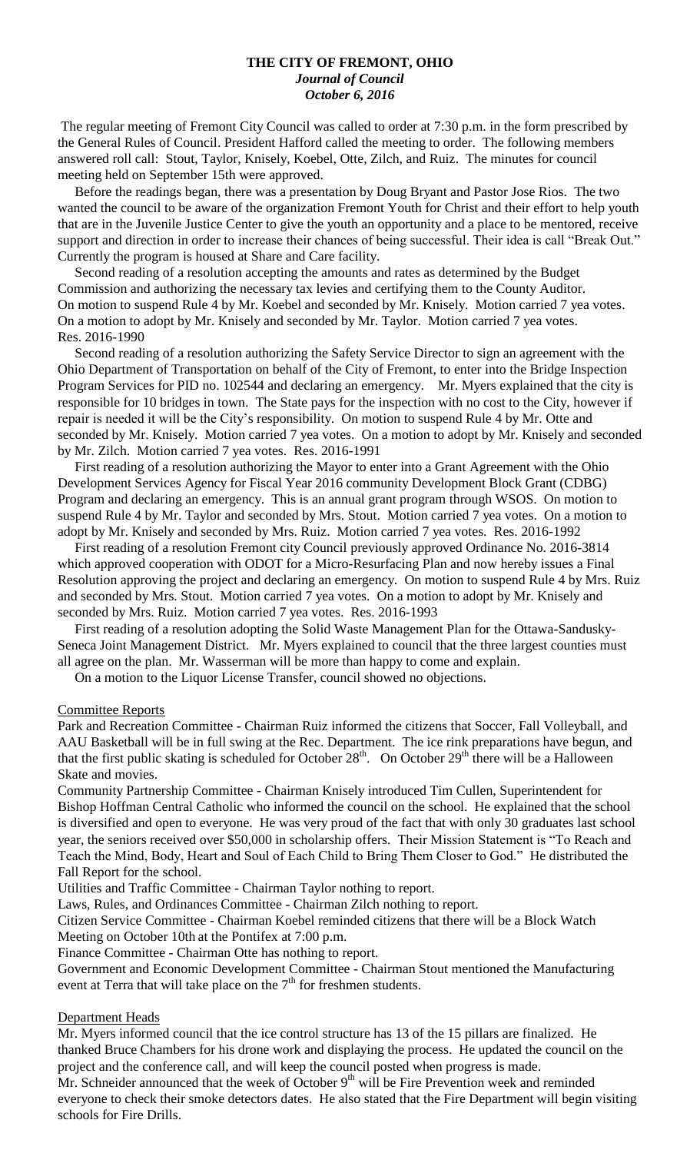### **THE CITY OF FREMONT, OHIO** *Journal of Council October 6, 2016*

The regular meeting of Fremont City Council was called to order at 7:30 p.m. in the form prescribed by the General Rules of Council. President Hafford called the meeting to order. The following members answered roll call: Stout, Taylor, Knisely, Koebel, Otte, Zilch, and Ruiz. The minutes for council meeting held on September 15th were approved.

 Before the readings began, there was a presentation by Doug Bryant and Pastor Jose Rios. The two wanted the council to be aware of the organization Fremont Youth for Christ and their effort to help youth that are in the Juvenile Justice Center to give the youth an opportunity and a place to be mentored, receive support and direction in order to increase their chances of being successful. Their idea is call "Break Out." Currently the program is housed at Share and Care facility.

 Second reading of a resolution accepting the amounts and rates as determined by the Budget Commission and authorizing the necessary tax levies and certifying them to the County Auditor. On motion to suspend Rule 4 by Mr. Koebel and seconded by Mr. Knisely. Motion carried 7 yea votes. On a motion to adopt by Mr. Knisely and seconded by Mr. Taylor. Motion carried 7 yea votes. Res. 2016-1990

 Second reading of a resolution authorizing the Safety Service Director to sign an agreement with the Ohio Department of Transportation on behalf of the City of Fremont, to enter into the Bridge Inspection Program Services for PID no. 102544 and declaring an emergency. Mr. Myers explained that the city is responsible for 10 bridges in town. The State pays for the inspection with no cost to the City, however if repair is needed it will be the City's responsibility. On motion to suspend Rule 4 by Mr. Otte and seconded by Mr. Knisely. Motion carried 7 yea votes. On a motion to adopt by Mr. Knisely and seconded by Mr. Zilch. Motion carried 7 yea votes. Res. 2016-1991

 First reading of a resolution authorizing the Mayor to enter into a Grant Agreement with the Ohio Development Services Agency for Fiscal Year 2016 community Development Block Grant (CDBG) Program and declaring an emergency. This is an annual grant program through WSOS. On motion to suspend Rule 4 by Mr. Taylor and seconded by Mrs. Stout. Motion carried 7 yea votes. On a motion to adopt by Mr. Knisely and seconded by Mrs. Ruiz. Motion carried 7 yea votes. Res. 2016-1992

 First reading of a resolution Fremont city Council previously approved Ordinance No. 2016-3814 which approved cooperation with ODOT for a Micro-Resurfacing Plan and now hereby issues a Final Resolution approving the project and declaring an emergency. On motion to suspend Rule 4 by Mrs. Ruiz and seconded by Mrs. Stout. Motion carried 7 yea votes. On a motion to adopt by Mr. Knisely and seconded by Mrs. Ruiz. Motion carried 7 yea votes. Res. 2016-1993

 First reading of a resolution adopting the Solid Waste Management Plan for the Ottawa-Sandusky-Seneca Joint Management District. Mr. Myers explained to council that the three largest counties must all agree on the plan. Mr. Wasserman will be more than happy to come and explain.

On a motion to the Liquor License Transfer, council showed no objections.

### Committee Reports

Park and Recreation Committee - Chairman Ruiz informed the citizens that Soccer, Fall Volleyball, and AAU Basketball will be in full swing at the Rec. Department. The ice rink preparations have begun, and that the first public skating is scheduled for October  $28<sup>th</sup>$ . On October  $29<sup>th</sup>$  there will be a Halloween Skate and movies.

Community Partnership Committee - Chairman Knisely introduced Tim Cullen, Superintendent for Bishop Hoffman Central Catholic who informed the council on the school. He explained that the school is diversified and open to everyone. He was very proud of the fact that with only 30 graduates last school year, the seniors received over \$50,000 in scholarship offers. Their Mission Statement is "To Reach and Teach the Mind, Body, Heart and Soul of Each Child to Bring Them Closer to God." He distributed the Fall Report for the school.

Utilities and Traffic Committee - Chairman Taylor nothing to report.

Laws, Rules, and Ordinances Committee - Chairman Zilch nothing to report.

Citizen Service Committee - Chairman Koebel reminded citizens that there will be a Block Watch Meeting on October 10th at the Pontifex at 7:00 p.m.

Finance Committee - Chairman Otte has nothing to report.

Government and Economic Development Committee - Chairman Stout mentioned the Manufacturing event at Terra that will take place on the  $7<sup>th</sup>$  for freshmen students.

### Department Heads

Mr. Myers informed council that the ice control structure has 13 of the 15 pillars are finalized. He thanked Bruce Chambers for his drone work and displaying the process. He updated the council on the project and the conference call, and will keep the council posted when progress is made.

Mr. Schneider announced that the week of October  $9<sup>th</sup>$  will be Fire Prevention week and reminded everyone to check their smoke detectors dates. He also stated that the Fire Department will begin visiting schools for Fire Drills.